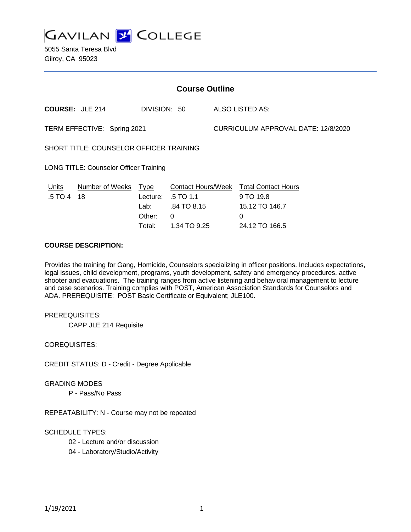

5055 Santa Teresa Blvd Gilroy, CA 95023

| <b>Course Outline</b>                         |                            |                                                           |                                  |                                     |                                                                                                     |
|-----------------------------------------------|----------------------------|-----------------------------------------------------------|----------------------------------|-------------------------------------|-----------------------------------------------------------------------------------------------------|
| <b>COURSE: JLE 214</b>                        |                            | DIVISION: 50                                              |                                  |                                     | ALSO LISTED AS:                                                                                     |
| TERM EFFECTIVE: Spring 2021                   |                            |                                                           |                                  | CURRICULUM APPROVAL DATE: 12/8/2020 |                                                                                                     |
| SHORT TITLE: COUNSELOR OFFICER TRAINING       |                            |                                                           |                                  |                                     |                                                                                                     |
| <b>LONG TITLE: Counselor Officer Training</b> |                            |                                                           |                                  |                                     |                                                                                                     |
| <b>Units</b><br>.5 TO 4                       | Number of Weeks Type<br>18 | Lecture: $.5 \text{ TO } 1.1$<br>Lab:<br>Other:<br>Total: | .84 TO 8.15<br>0<br>1.34 TO 9.25 |                                     | <b>Contact Hours/Week Total Contact Hours</b><br>9 TO 19.8<br>15.12 TO 146.7<br>0<br>24.12 TO 166.5 |

## **COURSE DESCRIPTION:**

Provides the training for Gang, Homicide, Counselors specializing in officer positions. Includes expectations, legal issues, child development, programs, youth development, safety and emergency procedures, active shooter and evacuations. The training ranges from active listening and behavioral management to lecture and case scenarios. Training complies with POST, American Association Standards for Counselors and ADA. PREREQUISITE: POST Basic Certificate or Equivalent; JLE100.

#### PREREQUISITES:

CAPP JLE 214 Requisite

COREQUISITES:

CREDIT STATUS: D - Credit - Degree Applicable

#### GRADING MODES

P - Pass/No Pass

REPEATABILITY: N - Course may not be repeated

## SCHEDULE TYPES:

- 02 Lecture and/or discussion
- 04 Laboratory/Studio/Activity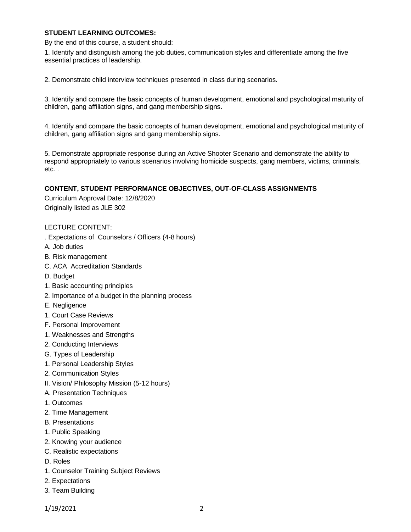## **STUDENT LEARNING OUTCOMES:**

By the end of this course, a student should:

1. Identify and distinguish among the job duties, communication styles and differentiate among the five essential practices of leadership.

2. Demonstrate child interview techniques presented in class during scenarios.

3. Identify and compare the basic concepts of human development, emotional and psychological maturity of children, gang affiliation signs, and gang membership signs.

4. Identify and compare the basic concepts of human development, emotional and psychological maturity of children, gang affiliation signs and gang membership signs.

5. Demonstrate appropriate response during an Active Shooter Scenario and demonstrate the ability to respond appropriately to various scenarios involving homicide suspects, gang members, victims, criminals, etc. .

## **CONTENT, STUDENT PERFORMANCE OBJECTIVES, OUT-OF-CLASS ASSIGNMENTS**

Curriculum Approval Date: 12/8/2020 Originally listed as JLE 302

## LECTURE CONTENT:

- . Expectations of Counselors / Officers (4-8 hours)
- A. Job duties
- B. Risk management
- C. ACA Accreditation Standards
- D. Budget
- 1. Basic accounting principles
- 2. Importance of a budget in the planning process
- E. Negligence
- 1. Court Case Reviews
- F. Personal Improvement
- 1. Weaknesses and Strengths
- 2. Conducting Interviews
- G. Types of Leadership
- 1. Personal Leadership Styles
- 2. Communication Styles
- II. Vision/ Philosophy Mission (5-12 hours)
- A. Presentation Techniques
- 1. Outcomes
- 2. Time Management
- B. Presentations
- 1. Public Speaking
- 2. Knowing your audience
- C. Realistic expectations
- D. Roles
- 1. Counselor Training Subject Reviews
- 2. Expectations
- 3. Team Building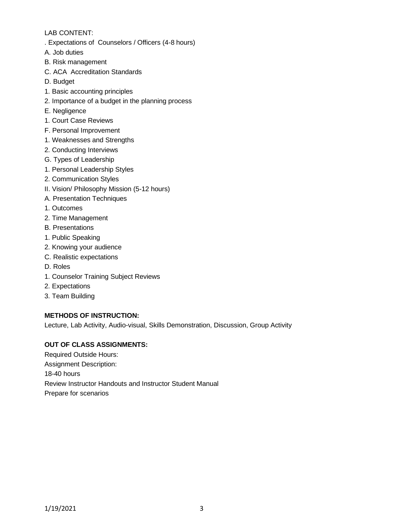# LAB CONTENT:

- . Expectations of Counselors / Officers (4-8 hours)
- A. Job duties
- B. Risk management
- C. ACA Accreditation Standards
- D. Budget
- 1. Basic accounting principles
- 2. Importance of a budget in the planning process
- E. Negligence
- 1. Court Case Reviews
- F. Personal Improvement
- 1. Weaknesses and Strengths
- 2. Conducting Interviews
- G. Types of Leadership
- 1. Personal Leadership Styles
- 2. Communication Styles
- II. Vision/ Philosophy Mission (5-12 hours)
- A. Presentation Techniques
- 1. Outcomes
- 2. Time Management
- B. Presentations
- 1. Public Speaking
- 2. Knowing your audience
- C. Realistic expectations
- D. Roles
- 1. Counselor Training Subject Reviews
- 2. Expectations
- 3. Team Building

# **METHODS OF INSTRUCTION:**

Lecture, Lab Activity, Audio-visual, Skills Demonstration, Discussion, Group Activity

# **OUT OF CLASS ASSIGNMENTS:**

Required Outside Hours: Assignment Description: 18-40 hours Review Instructor Handouts and Instructor Student Manual Prepare for scenarios